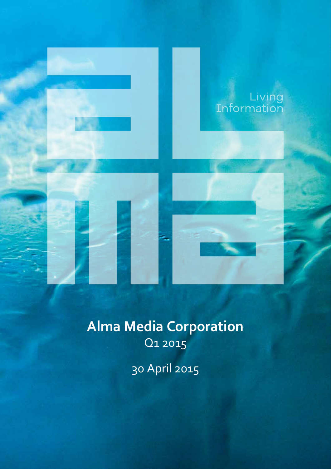

# **Alma Media Corporation**  Q1 2015

30 April 2015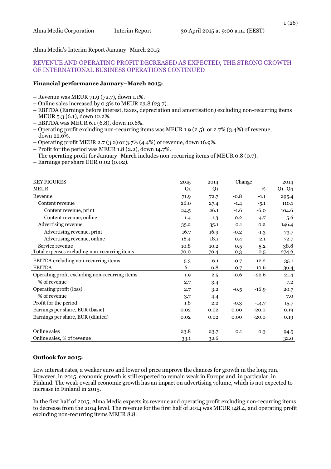Alma Media's Interim Report January–March 2015:

#### REVENUE AND OPERATING PROFIT DECREASED AS EXPECTED, THE STRONG GROWTH OF INTERNATIONAL BUSINESS OPERATIONS CONTINUED

#### **Financial performance January–March 2015:**

- Revenue was MEUR 71.9 (72.7), down 1.1%.
- Online sales increased by 0.3% to MEUR 23.8 (23.7).
- EBITDA (Earnings before interest, taxes, depreciation and amortisation) excluding non-recurring items MEUR 5.3 (6.1), down 12.2%.
- EBITDA was MEUR 6.1 (6.8), down 10.6%.
- Operating profit excluding non-recurring items was MEUR 1.9 (2.5), or 2.7% (3.4%) of revenue, down 22.6%.
- Operating profit MEUR 2.7 (3.2) or 3.7% (4.4%) of revenue, down 16.9%.
- Profit for the period was MEUR 1.8 (2.2), down 14.7%.
- The operating profit for January–March includes non-recurring items of MEUR 0.8 (0.7).
- Earnings per share EUR 0.02 (0.02).

| <b>KEY FIGURES</b>                             | 2015           | 2014           | Change |         | 2014      |
|------------------------------------------------|----------------|----------------|--------|---------|-----------|
| <b>MEUR</b>                                    | Q <sub>1</sub> | Q <sub>1</sub> |        | %       | $Q1 - Q4$ |
| Revenue                                        | 71.9           | 72.7           | $-0.8$ | $-1.1$  | 295.4     |
| Content revenue                                | 26.0           | 27.4           | $-1.4$ | $-5.1$  | 110.1     |
| Content revenue, print                         | 24.5           | 26.1           | $-1.6$ | $-6.0$  | 104.6     |
| Content revenue, online                        | 1.4            | 1.3            | 0.2    | 14.7    | 5.6       |
| Advertising revenue                            | 35.2           | 35.1           | 0.1    | 0.2     | 146.4     |
| Advertising revenue, print                     | 16.7           | 16.9           | $-0.2$ | $-1.3$  | 73.7      |
| Advertising revenue, online                    | 18.4           | 18.1           | 0.4    | 2.1     | 72.7      |
| Service revenue                                | 10.8           | 10.2           | 0.5    | 5.2     | 38.8      |
| Total expenses excluding non-recurring items   | 70.0           | 70.4           | $-0.3$ | $-0.5$  | 274.6     |
| EBITDA excluding non-recurring items           | 5.3            | 6.1            | $-0.7$ | $-12.2$ | 35.1      |
| <b>EBITDA</b>                                  | 6.1            | 6.8            | $-0.7$ | $-10.6$ | 36.4      |
| Operating profit excluding non-recurring items | 1.9            | 2.5            | $-0.6$ | $-22.6$ | 21.4      |
| % of revenue                                   | 2.7            | 3.4            |        |         | 7.2       |
| Operating profit (loss)                        | 2.7            | 3.2            | $-0.5$ | $-16.9$ | 20.7      |
| % of revenue                                   | 3.7            | 4.4            |        |         | 7.0       |
| Profit for the period                          | 1.8            | 2.2            | $-0.3$ | $-14.7$ | 15.7      |
| Earnings per share, EUR (basic)                | 0.02           | 0.02           | 0.00   | $-20.0$ | 0.19      |
| Earnings per share, EUR (diluted)              | 0.02           | 0.02           | 0.00   | $-20.0$ | 0.19      |
|                                                |                |                |        |         |           |
| Online sales                                   | 23.8           | 23.7           | 0.1    | 0.3     | 94.5      |
| Online sales, % of revenue                     | 33.1           | 32.6           |        |         | 32.0      |

#### **Outlook for 2015:**

Low interest rates, a weaker euro and lower oil price improve the chances for growth in the long run. However, in 2015, economic growth is still expected to remain weak in Europe and, in particular, in Finland. The weak overall economic growth has an impact on advertising volume, which is not expected to increase in Finland in 2015.

In the first half of 2015, Alma Media expects its revenue and operating profit excluding non-recurring items to decrease from the 2014 level. The revenue for the first half of 2014 was MEUR 148.4, and operating profit excluding non-recurring items MEUR 8.8.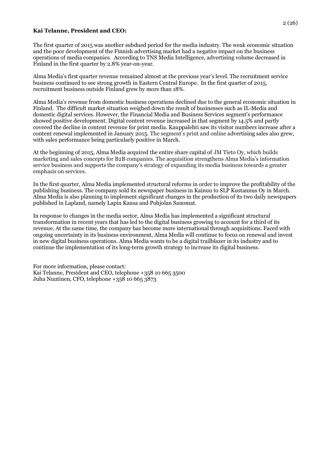#### **Kai Telanne, President and CEO:**

The first quarter of 2015 was another subdued period for the media industry. The weak economic situation and the poor development of the Finnish advertising market had a negative impact on the business operations of media companies. According to TNS Media Intelligence, advertising volume decreased in Finland in the first quarter by 2.8% year-on-year.

Alma Media's first quarter revenue remained almost at the previous year's level. The recruitment service business continued to see strong growth in Eastern Central Europe. In the first quarter of 2015, recruitment business outside Finland grew by more than 18%.

Alma Media's revenue from domestic business operations declined due to the general economic situation in Finland. The difficult market situation weighed down the result of businesses such as IL-Media and domestic digital services. However, the Financial Media and Business Services segment's performance showed positive development. Digital content revenue increased in that segment by 14.5% and partly covered the decline in content revenue for print media. Kauppalehti saw its visitor numbers increase after a content renewal implemented in January 2015. The segment's print and online advertising sales also grew, with sales performance being particularly positive in March.

At the beginning of 2015, Alma Media acquired the entire share capital of JM Tieto Oy, which builds marketing and sales concepts for B2B companies. The acquisition strengthens Alma Media's information service business and supports the company's strategy of expanding its media business towards a greater emphasis on services.

In the first quarter, Alma Media implemented structural reforms in order to improve the profitability of the publishing business. The company sold its newspaper business in Kainuu to SLP Kustannus Oy in March. Alma Media is also planning to implement significant changes in the production of its two daily newspapers published in Lapland, namely Lapin Kansa and Pohjolan Sanomat.

In response to changes in the media sector, Alma Media has implemented a significant structural transformation in recent years that has led to the digital business growing to account for a third of its revenue. At the same time, the company has become more international through acquisitions. Faced with ongoing uncertainty in its business environment, Alma Media will continue to focus on renewal and invest in new digital business operations. Alma Media wants to be a digital trailblazer in its industry and to continue the implementation of its long-term growth strategy to increase its digital business.

For more information, please contact: Kai Telanne, President and CEO, telephone +358 10 665 3500 Juha Nuutinen, CFO, telephone +358 10 665 3873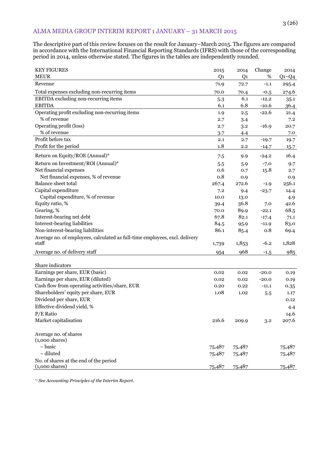# ALMA MEDIA GROUP INTERIM REPORT 1 JANUARY – 31 MARCH 2015

The descriptive part of this review focuses on the result for January–March 2015. The figures are compared in accordance with the International Financial Reporting Standards (IFRS) with those of the corresponding period in 2014, unless otherwise stated. The figures in the tables are independently rounded.

| <b>KEY FIGURES</b>                                                          | 2015           | 2014           | Change  | 2014    |
|-----------------------------------------------------------------------------|----------------|----------------|---------|---------|
| <b>MEUR</b>                                                                 | Q <sub>1</sub> | Q <sub>1</sub> | %       | $Q1-Q4$ |
| Revenue                                                                     | 71.9           | 72.7           | $-1.1$  | 295.4   |
| Total expenses excluding non-recurring items                                | 70.0           | 70.4           | $-0.5$  | 274.6   |
| EBITDA excluding non-recurring items                                        | 5.3            | 6.1            | $-12.2$ | 35.1    |
| <b>EBITDA</b>                                                               | 6.1            | 6.8            | $-10.6$ | 36.4    |
| Operating profit excluding non-recurring items                              | 1.9            | 2.5            | $-22.6$ | 21.4    |
| % of revenue                                                                | 2.7            | 3.4            |         | 7.2     |
| Operating profit (loss)                                                     | 2.7            | 3.2            | $-16.9$ | 20.7    |
| % of revenue                                                                | 3.7            | 4.4            |         | 7.0     |
| Profit before tax                                                           | 2.1            | 2.7            | $-19.7$ | 19.7    |
| Profit for the period                                                       | 1.8            | $2.2\,$        | $-14.7$ | 15.7    |
| Return on Equity/ROE (Annual)*                                              | 7.5            | 9.9            | $-24.2$ | 16.4    |
| Return on Investment/ROI (Annual)*                                          | 5.5            | 5.9            | $-7.0$  | 9.7     |
| Net financial expenses                                                      | 0.6            | 0.7            | 15.8    | 2.7     |
| Net financial expenses, % of revenue                                        | 0.8            | 0.9            |         | 0.9     |
| Balance sheet total                                                         | 267.4          | 272.6          | $-1.9$  | 256.1   |
| Capital expenditure                                                         | 7.2            | 9.4            | $-23.7$ | 14.4    |
| Capital expenditure, % of revenue                                           | 10.0           | 13.0           |         | 4.9     |
| Equity ratio, %                                                             | 39.4           | 36.8           | 7.0     | 42.6    |
| Gearing, %                                                                  | 70.0           | 89.9           | $-22.1$ | 68.5    |
| Interest-bearing net debt                                                   | 67.8           | 82.1           | $-17.4$ | 71.1    |
| Interest-bearing liabilities                                                | 84.5           | 95.9           | $-11.9$ | 83.0    |
| Non-interest-bearing liabilities                                            | 86.1           | 85.4           | 0.8     | 69.4    |
| Average no. of employees, calculated as full-time employees, excl. delivery |                |                |         |         |
| staff                                                                       | 1,739          | 1,853          | $-6.2$  | 1,828   |
| Average no. of delivery staff                                               | 954            | 968            | $-1.5$  | 985     |
|                                                                             |                |                |         |         |
| Share indicators                                                            |                |                |         |         |
| Earnings per share, EUR (basic)                                             | 0.02           | 0.02           | $-20.0$ | 0.19    |
| Earnings per share, EUR (diluted)                                           | 0.02           | 0.02           | $-20.0$ | 0.19    |
| Cash flow from operating activities/share, EUR                              | 0.20           | 0.22           | $-11.1$ | 0.35    |
| Shareholders' equity per share, EUR                                         | 1.08           | 1.02           | 5.5     | 1.17    |
| Dividend per share, EUR                                                     |                |                |         | 0.12    |
| Effective dividend yield, %                                                 |                |                |         | 4.4     |
| P/E Ratio                                                                   |                |                |         | 14.6    |
| Market capitalisation                                                       | 216.6          | 209.9          | 3.2     | 207.6   |
|                                                                             |                |                |         |         |
| Average no. of shares                                                       |                |                |         |         |
| $(1,000 \text{ shares})$                                                    |                |                |         |         |
| - basic                                                                     | 75,487         | 75,487         |         | 75,487  |
| - diluted                                                                   | 75,487         | 75,487         |         | 75,487  |
| No. of shares at the end of the period                                      |                |                |         |         |
| $(1,000 \text{ shares})$                                                    | 75,487         | 75,487         |         | 75,487  |

\*) *See Accounting Principles of the Interim Report.*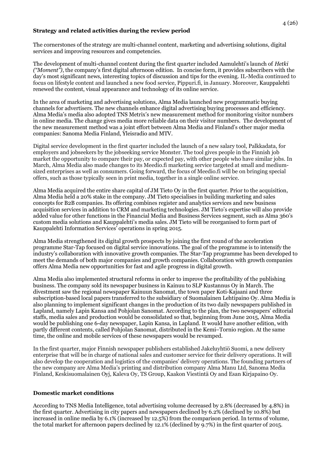#### **Strategy and related activities during the review period**

The cornerstones of the strategy are multi-channel content, marketing and advertising solutions, digital services and improving resources and competencies.

The development of multi-channel content during the first quarter included Aamulehti's launch of *Hetki ("Moment")*, the company's first digital afternoon edition. In concise form, it provides subscribers with the day's most significant news, interesting topics of discussion and tips for the evening. IL-Media continued to focus on lifestyle content and launched a new food service, Pippuri.fi, in January. Moreover, Kauppalehti renewed the content, visual appearance and technology of its online service.

In the area of marketing and advertising solutions, Alma Media launched new programmatic buying channels for advertisers. The new channels enhance digital advertising buying processes and efficiency. Alma Media's media also adopted TNS Metrix's new measurement method for monitoring visitor numbers in online media. The change gives media more reliable data on their visitor numbers. The development of the new measurement method was a joint effort between Alma Media and Finland's other major media companies: Sanoma Media Finland, Yleisradio and MTV.

Digital service development in the first quarter included the launch of a new salary tool, Palkkadata, for employers and jobseekers by the jobseeking service Monster. The tool gives people in the Finnish job market the opportunity to compare their pay, or expected pay, with other people who have similar jobs. In March, Alma Media also made changes to its Meedio.fi marketing service targeted at small and mediumsized enterprises as well as consumers. Going forward, the focus of Meedio.fi will be on bringing special offers, such as those typically seen in print media, together in a single online service.

Alma Media acquired the entire share capital of JM Tieto Oy in the first quarter. Prior to the acquisition, Alma Media held a 20% stake in the company. JM Tieto specialises in building marketing and sales concepts for B2B companies. Its offering combines register and analytics services and new business acquisition services in addition to CRM and marketing technologies. JM Tieto's expertise will also provide added value for other functions in the Financial Media and Business Services segment, such as Alma 360's custom media solutions and Kauppalehti's media sales. JM Tieto will be reorganised to form part of Kauppalehti Information Services' operations in spring 2015.

Alma Media strengthened its digital growth prospects by joining the first round of the acceleration programme Star-Tap focused on digital service innovations. The goal of the programme is to intensify the industry's collaboration with innovative growth companies. The Star-Tap programme has been developed to meet the demands of both major companies and growth companies. Collaboration with growth companies offers Alma Media new opportunities for fast and agile progress in digital growth.

Alma Media also implemented structural reforms in order to improve the profitability of the publishing business. The company sold its newspaper business in Kainuu to SLP Kustannus Oy in March. The divestment saw the regional newspaper Kainuun Sanomat, the town paper Koti-Kajaani and three subscription-based local papers transferred to the subsidiary of Suomalainen Lehtipaino Oy. Alma Media is also planning to implement significant changes in the production of its two daily newspapers published in Lapland, namely Lapin Kansa and Pohjolan Sanomat. According to the plan, the two newspapers' editorial staffs, media sales and production would be consolidated so that, beginning from June 2015, Alma Media would be publishing one 6-day newspaper, Lapin Kansa, in Lapland. It would have another edition, with partly different contents, called Pohjolan Sanomat, distributed in the Kemi–Tornio region. At the same time, the online and mobile services of these newspapers would be revamped.

In the first quarter, major Finnish newspaper publishers established Jakeluyhtiö Suomi, a new delivery enterprise that will be in charge of national sales and customer service for their delivery operations. It will also develop the cooperation and logistics of the companies' delivery operations. The founding partners of the new company are Alma Media's printing and distribution company Alma Manu Ltd, Sanoma Media Finland, Keskisuomalainen Oyj, Kaleva Oy, TS Group, Kaakon Viestintä Oy and Esan Kirjapaino Oy.

## **Domestic market conditions**

According to TNS Media Intelligence, total advertising volume decreased by 2.8% (decreased by 4.8%) in the first quarter. Advertising in city papers and newspapers declined by 6.2% (declined by 10.8%) but increased in online media by 6.1% (increased by 12.5%) from the comparison period. In terms of volume, the total market for afternoon papers declined by 12.1% (declined by 9.7%) in the first quarter of 2015.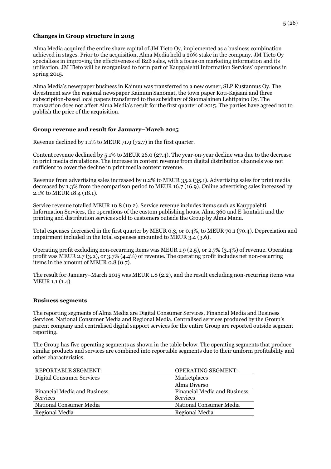#### **Changes in Group structure in 2015**

Alma Media acquired the entire share capital of JM Tieto Oy, implemented as a business combination achieved in stages. Prior to the acquisition, Alma Media held a 20% stake in the company. JM Tieto Oy specialises in improving the effectiveness of B2B sales, with a focus on marketing information and its utilisation. JM Tieto will be reorganised to form part of Kauppalehti Information Services' operations in spring 2015.

Alma Media's newspaper business in Kainuu was transferred to a new owner, SLP Kustannus Oy. The divestment saw the regional newspaper Kainuun Sanomat, the town paper Koti-Kajaani and three subscription-based local papers transferred to the subsidiary of Suomalainen Lehtipaino Oy. The transaction does not affect Alma Media's result for the first quarter of 2015. The parties have agreed not to publish the price of the acquisition.

## **Group revenue and result for January–March 2015**

Revenue declined by 1.1% to MEUR 71.9 (72.7) in the first quarter.

Content revenue declined by 5.1% to MEUR 26.0 (27.4). The year-on-year decline was due to the decrease in print media circulations. The increase in content revenue from digital distribution channels was not sufficient to cover the decline in print media content revenue.

Revenue from advertising sales increased by 0.2% to MEUR 35.2 (35.1). Advertising sales for print media decreased by 1.3% from the comparison period to MEUR 16.7 (16.9). Online advertising sales increased by 2.1% to MEUR 18.4 (18.1).

Service revenue totalled MEUR 10.8 (10.2). Service revenue includes items such as Kauppalehti Information Services, the operations of the custom publishing house Alma 360 and E-kontakti and the printing and distribution services sold to customers outside the Group by Alma Manu.

Total expenses decreased in the first quarter by MEUR 0.3, or 0.4%, to MEUR 70.1 (70.4). Depreciation and impairment included in the total expenses amounted to MEUR 3.4 (3.6).

Operating profit excluding non-recurring items was MEUR 1.9 (2.5), or 2.7% (3.4%) of revenue. Operating profit was MEUR 2.7 (3.2), or 3.7% (4.4%) of revenue. The operating profit includes net non-recurring items in the amount of MEUR 0.8 (0.7).

The result for January–March 2015 was MEUR 1.8 (2.2), and the result excluding non-recurring items was MEUR 1.1 (1.4).

## **Business segments**

The reporting segments of Alma Media are Digital Consumer Services, Financial Media and Business Services, National Consumer Media and Regional Media. Centralised services produced by the Group's parent company and centralised digital support services for the entire Group are reported outside segment reporting.

The Group has five operating segments as shown in the table below. The operating segments that produce similar products and services are combined into reportable segments due to their uniform profitability and other characteristics.

| <b>REPORTABLE SEGMENT:</b>          | <b>OPERATING SEGMENT:</b>    |
|-------------------------------------|------------------------------|
| Digital Consumer Services           | Marketplaces                 |
|                                     | Alma Diverso                 |
| <b>Financial Media and Business</b> | Financial Media and Business |
| <b>Services</b>                     | <b>Services</b>              |
| National Consumer Media             | National Consumer Media      |
| Regional Media                      | Regional Media               |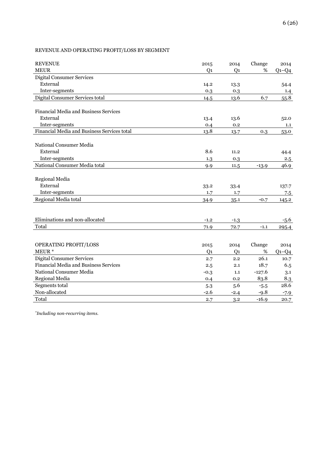# REVENUE AND OPERATING PROFIT/LOSS BY SEGMENT

| <b>REVENUE</b>                              | 2015           | 2014           | Change   | 2014      |
|---------------------------------------------|----------------|----------------|----------|-----------|
| <b>MEUR</b>                                 | Q <sub>1</sub> | Q <sub>1</sub> | %        | $Q_1-Q_4$ |
| <b>Digital Consumer Services</b>            |                |                |          |           |
| External                                    | 14.2           | 13.3           |          | 54.4      |
| Inter-segments                              | 0.3            | 0.3            |          | 1.4       |
| Digital Consumer Services total             | 14.5           | 13.6           | 6.7      | 55.8      |
|                                             |                |                |          |           |
| Financial Media and Business Services       |                |                |          |           |
| External                                    | 13.4           | 13.6           |          | 52.0      |
| Inter-segments                              | 0.4            | 0.2            |          | 1.1       |
| Financial Media and Business Services total | 13.8           | 13.7           | 0.3      | 53.0      |
|                                             |                |                |          |           |
| National Consumer Media                     |                |                |          |           |
| External                                    | 8.6            | 11.2           |          | 44.4      |
| Inter-segments                              | 1.3            | 0.3            |          | 2.5       |
| National Consumer Media total               | 9.9            | 11.5           | $-13.9$  | 46.9      |
|                                             |                |                |          |           |
| Regional Media                              |                |                |          |           |
| External                                    | 33.2           | 33.4           |          | 137.7     |
| Inter-segments                              | 1.7            | 1.7            |          | 7.5       |
| Regional Media total                        | 34.9           | 35.1           | $-0.7$   | 145.2     |
|                                             |                |                |          |           |
|                                             |                |                |          |           |
| Eliminations and non-allocated              | $-1.2$         | $-1.3$         |          | $-5.6$    |
| Total                                       | 71.9           | 72.7           | $-1.1$   | 295.4     |
|                                             |                |                |          |           |
|                                             |                |                |          |           |
| OPERATING PROFIT/LOSS                       | 2015           | 2014           | Change   | 2014      |
| MEUR <sup>*</sup>                           | Q1             | Q <sub>1</sub> | %        | $Q1-Q4$   |
| <b>Digital Consumer Services</b>            | 2.7            | 2.2            | 26.1     | 10.7      |
| Financial Media and Business Services       | 2.5            | 2.1            | 18.7     | 6.5       |
| National Consumer Media                     | $-0.3$         | 1.1            | $-127.6$ | 3.1       |
| Regional Media                              | 0.4            | 0.2            | 83.8     | 8.3       |
| Segments total                              | 5.3            | 5.6            | $-5.5$   | 28.6      |
| Non-allocated                               | $-2.6$         | $-2.4$         | $-9.8$   | $-7.9$    |
| Total                                       | 2.7            | 3.2            | $-16.9$  | 20.7      |

*\* Including non-recurring items.*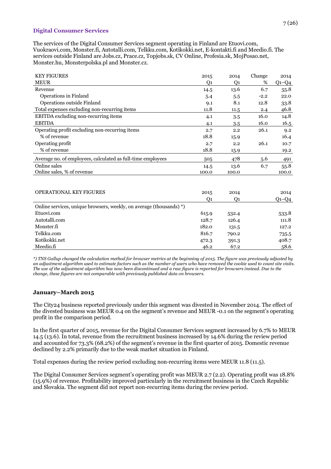#### **Digital Consumer Services**

The services of the Digital Consumer Services segment operating in Finland are Etuovi.com, Vuokraovi.com, Monster.fi, Autotalli.com, Telkku.com, Kotikokki.net, E-kontakti.fi and Meedio.fi. The services outside Finland are Jobs.cz, Prace.cz, Topjobs.sk, CV Online, Profesia.sk, MojPosao.net, Monster.hu, Monsterpolska.pl and Monster.cz.

| <b>KEY FIGURES</b>                                          | 2015  | 2014  | Change | 2014    |
|-------------------------------------------------------------|-------|-------|--------|---------|
| <b>MEUR</b>                                                 | Q1    | Q1    | %      | $Q1-Q4$ |
| Revenue                                                     | 14.5  | 13.6  | 6.7    | 55.8    |
| Operations in Finland                                       | 5.4   | 5.5   | $-2.2$ | 22.0    |
| Operations outside Finland                                  | 9.1   | 8.1   | 12.8   | 33.8    |
| Total expenses excluding non-recurring items                | 11.8  | 11.5  | 2.4    | 46.8    |
| <b>EBITDA</b> excluding non-recurring items                 | 4.1   | 3.5   | 16.0   | 14.8    |
| <b>EBITDA</b>                                               | 4.1   | 3.5   | 16.0   | 16.5    |
| Operating profit excluding non-recurring items              | 2.7   | 2.2   | 26.1   | 9.2     |
| % of revenue                                                | 18.8  | 15.9  |        | 16.4    |
| Operating profit                                            | 2.7   | 2.2   | 26.1   | 10.7    |
| % of revenue                                                | 18.8  | 15.9  |        | 19.2    |
| Average no. of employees, calculated as full-time employees | 505   | 478   | 5.6    | 491     |
| Online sales                                                | 14.5  | 13.6  | 6.7    | 55.8    |
| Online sales, % of revenue                                  | 100.0 | 100.0 |        | 100.0   |
|                                                             |       |       |        |         |

| <b>OPERATIONAL KEY FIGURES</b>                                      | 2015  | 2014  | 2014        |
|---------------------------------------------------------------------|-------|-------|-------------|
|                                                                     | O1    | O1    | $Q_1 - Q_4$ |
| Online services, unique browsers, weekly, on average (thousands) *) |       |       |             |
| Etuovi.com                                                          | 615.9 | 532.4 | 533.8       |
| Autotalli.com                                                       | 128.7 | 126.4 | 111.8       |
| Monster.fi                                                          | 182.0 | 131.5 | 127.2       |
| Telkku.com                                                          | 816.7 | 790.2 | 735.5       |
| Kotikokki.net                                                       | 472.3 | 391.3 | 408.7       |
| Meedio.fi                                                           | 46.2  | 67.2  | 58.6        |

*\*) TNS Gallup changed the calculation method for browser metrics at the beginning of 2015. The figure was previously adjusted by an adjustment algorithm used to estimate factors such as the number of users who have removed the cookie used to count site visits. The use of the adjustment algorithm has now been discontinued and a raw figure is reported for browsers instead. Due to the change, these figures are not comparable with previously published data on browsers.*

## **January–March 2015**

The City24 business reported previously under this segment was divested in November 2014. The effect of the divested business was MEUR 0.4 on the segment's revenue and MEUR -0.1 on the segment's operating profit in the comparison period.

In the first quarter of 2015, revenue for the Digital Consumer Services segment increased by 6.7% to MEUR 14.5 (13.6). In total, revenue from the recruitment business increased by 14.6% during the review period and accounted for 73.3% (68.2%) of the segment's revenue in the first quarter of 2015. Domestic revenue declined by 2.2% primarily due to the weak market situation in Finland.

Total expenses during the review period excluding non-recurring items were MEUR 11.8 (11.5).

The Digital Consumer Services segment's operating profit was MEUR 2.7 (2.2). Operating profit was 18.8% (15.9%) of revenue. Profitability improved particularly in the recruitment business in the Czech Republic and Slovakia. The segment did not report non-recurring items during the review period.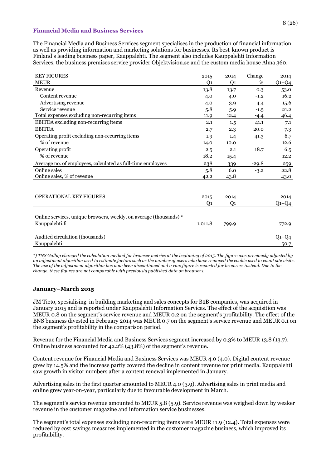#### **Financial Media and Business Services**

The Financial Media and Business Services segment specialises in the production of financial information as well as providing information and marketing solutions for businesses. Its best-known product is Finland's leading business paper, Kauppalehti. The segment also includes Kauppalehti Information Services, the business premises service provider Objektvision.se and the custom media house Alma 360.

| <b>KEY FIGURES</b>                                                                   | 2015    | 2014           | Change  | 2014         |
|--------------------------------------------------------------------------------------|---------|----------------|---------|--------------|
| <b>MEUR</b>                                                                          | Q1      | Q <sub>1</sub> | %       | $Q1 - Q4$    |
| Revenue                                                                              | 13.8    | 13.7           | 0.3     | 53.0         |
| Content revenue                                                                      | 4.0     | 4.0            | $-1.2$  | 16.2         |
| Advertising revenue                                                                  | 4.0     | 3.9            | 4.4     | 15.6         |
| Service revenue                                                                      | 5.8     | 5.9            | $-1.5$  | 21.2         |
| Total expenses excluding non-recurring items                                         | 11.9    | 12.4           | $-4.4$  | 46.4         |
| EBITDA excluding non-recurring items                                                 | 2.1     | 1.5            | 41.1    | 7.1          |
| <b>EBITDA</b>                                                                        | 2.7     | 2.3            | 20.0    | 7.3          |
| Operating profit excluding non-recurring items                                       | 1.9     | 1.4            | 41.3    | 6.7          |
| % of revenue                                                                         | 14.0    | 10.0           |         | 12.6         |
| Operating profit                                                                     | 2.5     | 2.1            | 18.7    | 6.5          |
| % of revenue                                                                         | 18.2    | 15.4           |         | 12.2         |
| Average no. of employees, calculated as full-time employees                          | 238     | 339            | $-29.8$ | 259          |
| Online sales                                                                         | 5.8     | 6.0            | $-3.2$  | 22.8         |
| Online sales, % of revenue                                                           | 42.2    | 43.8           |         | 43.0         |
|                                                                                      |         |                |         |              |
| <b>OPERATIONAL KEY FIGURES</b>                                                       | 2015    | 2014           |         | 2014         |
|                                                                                      | Q1      | Q <sub>1</sub> |         | $Q$ 1– $Q$ 4 |
| Online services, unique browsers, weekly, on average (thousands) *<br>Kauppalehti.fi | 1,011.8 | 799.9          |         | 772.9        |
|                                                                                      |         |                |         |              |
| Audited circulation (thousands)                                                      |         |                |         | $Q_1 - Q_4$  |
| Kauppalehti                                                                          |         |                |         | 50.7         |

*\*) TNS Gallup changed the calculation method for browser metrics at the beginning of 2015. The figure was previously adjusted by an adjustment algorithm used to estimate factors such as the number of users who have removed the cookie used to count site visits. The use of the adjustment algorithm has now been discontinued and a raw figure is reported for browsers instead. Due to the change, these figures are not comparable with previously published data on browsers.*

## **January–March 2015**

JM Tieto, spesialising in building marketing and sales concepts for B2B companies, was acquired in January 2015 and is reported under Kauppalehti Information Services. The effect of the acquisition was MEUR 0.8 on the segment's service revenue and MEUR 0.2 on the segment's profitability. The effect of the BNS business divested in February 2014 was MEUR 0.7 on the segment's service revenue and MEUR 0.1 on the segment's profitability in the comparison period.

Revenue for the Financial Media and Business Services segment increased by 0.3% to MEUR 13.8 (13.7). Online business accounted for 42.2% (43.8%) of the segment's revenue.

Content revenue for Financial Media and Business Services was MEUR 4.0 (4.0). Digital content revenue grew by 14.5% and the increase partly covered the decline in content revenue for print media. Kauppalehti saw growth in visitor numbers after a content renewal implemented in January.

Advertising sales in the first quarter amounted to MEUR 4.0 (3.9). Advertising sales in print media and online grew year-on-year, particularly due to favourable development in March.

The segment's service revenue amounted to MEUR 5.8 (5.9). Service revenue was weighed down by weaker revenue in the customer magazine and information service businesses.

The segment's total expenses excluding non-recurring items were MEUR 11.9 (12.4). Total expenses were reduced by cost savings measures implemented in the customer magazine business, which improved its profitability.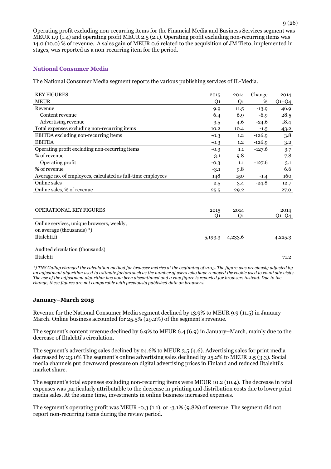Operating profit excluding non-recurring items for the Financial Media and Business Services segment was MEUR 1.9 (1.4) and operating profit MEUR 2.5 (2.1). Operating profit excluding non-recurring items was 14.0 (10.0) % of revenue. A sales gain of MEUR 0.6 related to the acquisition of JM Tieto, implemented in stages, was reported as a non-recurring item for the period.

## **National Consumer Media**

The National Consumer Media segment reports the various publishing services of IL-Media.

| <b>KEY FIGURES</b>                                          | 2015                  | 2014    | Change   | 2014        |
|-------------------------------------------------------------|-----------------------|---------|----------|-------------|
| <b>MEUR</b>                                                 | Q1                    | Q1      | %        | $Q_1 - Q_4$ |
| Revenue                                                     | 9.9                   | 11.5    | $-13.9$  | 46.9        |
| Content revenue                                             | 6.4                   | 6.9     | $-6.9$   | 28.5        |
| Advertising revenue                                         | 3.5                   | 4.6     | $-24.6$  | 18.4        |
| Total expenses excluding non-recurring items                | 10.2                  | 10.4    | $-1.5$   | 43.2        |
| EBITDA excluding non-recurring items                        | $-0.3$                | 1.2     | $-126.9$ | 3.8         |
| <b>EBITDA</b>                                               | $-0.3$                | 1,2     | $-126.9$ | 3.2         |
| Operating profit excluding non-recurring items              | $-0.3$                | 1.1     | $-127.6$ | 3.7         |
| % of revenue                                                | $-3.1$                | 9.8     |          | 7.8         |
| Operating profit                                            | $-0.3$                | 1.1     | $-127.6$ | 3.1         |
| % of revenue                                                | $-3.1$                | 9.8     |          | 6.6         |
| Average no. of employees, calculated as full-time employees | 148                   | 150     | $-1.4$   | 160         |
| Online sales                                                | 2.5                   | 3.4     | $-24.8$  | 12.7        |
| Online sales, % of revenue                                  | 25.5                  | 29.2    |          | 27.0        |
|                                                             |                       |         |          |             |
| <b>OPERATIONAL KEY FIGURES</b>                              | 2015                  | 2014    |          | 2014        |
|                                                             | <b>O</b> <sub>1</sub> | Q1      |          | $Q1 - Q4$   |
| Online services, unique browsers, weekly,                   |                       |         |          |             |
| on average (thousands) *)                                   |                       |         |          |             |
| Iltalehti.fi                                                | 5,193.3               | 4,233.6 |          | 4,225.3     |
| Audited circulation (thousands)                             |                       |         |          |             |
| Iltalehti                                                   |                       |         |          | 71.2        |

*\*) TNS Gallup changed the calculation method for browser metrics at the beginning of 2015. The figure was previously adjusted by an adjustment algorithm used to estimate factors such as the number of users who have removed the cookie used to count site visits. The use of the adjustment algorithm has now been discontinued and a raw figure is reported for browsers instead. Due to the change, these figures are not comparable with previously published data on browsers.*

#### **January–March 2015**

Revenue for the National Consumer Media segment declined by 13.9% to MEUR 9.9 (11.5) in January– March. Online business accounted for 25.5% (29.2%) of the segment's revenue.

The segment's content revenue declined by 6.9% to MEUR 6.4 (6.9) in January–March, mainly due to the decrease of Iltalehti's circulation.

The segment's advertising sales declined by 24.6% to MEUR 3.5 (4.6). Advertising sales for print media decreased by 23.0% The segment's online advertising sales declined by 25.2% to MEUR 2.5 (3.3). Social media channels put downward pressure on digital advertising prices in Finland and reduced Iltalehti's market share.

The segment's total expenses excluding non-recurring items were MEUR 10.2 (10.4). The decrease in total expenses was particularly attributable to the decrease in printing and distribution costs due to lower print media sales. At the same time, investments in online business increased expenses.

The segment's operating profit was MEUR -0.3 (1.1), or -3.1% (9.8%) of revenue. The segment did not report non-recurring items during the review period.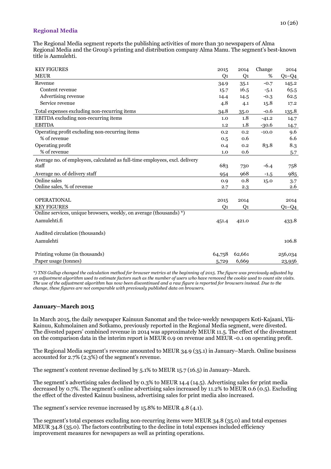## **Regional Media**

The Regional Media segment reports the publishing activities of more than 30 newspapers of Alma Regional Media and the Group's printing and distribution company Alma Manu. The segment's best-known title is Aamulehti.

| <b>KEY FIGURES</b>                                                          | 2015           | 2014           | Change  | 2014        |
|-----------------------------------------------------------------------------|----------------|----------------|---------|-------------|
| <b>MEUR</b>                                                                 | Q <sub>1</sub> | $Q_1$          | %       | $Q_1 - Q_4$ |
| Revenue                                                                     | 34.9           | 35.1           | $-0.7$  | 145.2       |
| Content revenue                                                             | 15.7           | 16.5           | $-5.1$  | 65.5        |
| Advertising revenue                                                         | 14.4           | 14.5           | $-0.3$  | 62.5        |
| Service revenue                                                             | 4.8            | 4.1            | 15.8    | 17.2        |
| Total expenses excluding non-recurring items                                | 34.8           | 35.0           | $-0.6$  | 135.8       |
| EBITDA excluding non-recurring items                                        | 1.0            | 1.8            | $-41.2$ | 14.7        |
| <b>EBITDA</b>                                                               | 1.2            | 1.8            | $-30.6$ | 14.7        |
| Operating profit excluding non-recurring items                              | 0.2            | 0.2            | $-10.0$ | 9.6         |
| % of revenue                                                                | 0.5            | 0.6            |         | 6.6         |
| Operating profit                                                            | 0.4            | 0.2            | 83.8    | 8.3         |
| % of revenue                                                                | 1.0            | 0.6            |         | 5.7         |
| Average no. of employees, calculated as full-time employees, excl. delivery |                |                |         |             |
| staff                                                                       | 683            | 730            | $-6.4$  | 758         |
| Average no. of delivery staff                                               | 954            | 968            | $-1.5$  | 985         |
| Online sales                                                                | 0.9            | 0.8            | 15.0    | 3.7         |
| Online sales, % of revenue                                                  | 2.7            | 2.3            |         | 2.6         |
|                                                                             |                |                |         |             |
| <b>OPERATIONAL</b>                                                          | 2015           | 2014           |         | 2014        |
| <b>KEY FIGURES</b>                                                          | Q1             | Q <sub>1</sub> |         | $Q1-Q4$     |
| Online services, unique browsers, weekly, on average (thousands) *)         |                |                |         |             |
| Aamulehti.fi                                                                | 451.4          | 421.0          |         | 433.8       |
|                                                                             |                |                |         |             |
| Audited circulation (thousands)                                             |                |                |         |             |
| Aamulehti                                                                   |                |                |         | 106.8       |
|                                                                             |                |                |         |             |
| Printing volume (in thousands)                                              | 64,758         | 62,661         |         | 256,034     |
| Paper usage (tonnes)                                                        | 5,729          | 6,669          |         | 23,956      |

*\*) TNS Gallup changed the calculation method for browser metrics at the beginning of 2015. The figure was previously adjusted by an adjustment algorithm used to estimate factors such as the number of users who have removed the cookie used to count site visits. The use of the adjustment algorithm has now been discontinued and a raw figure is reported for browsers instead. Due to the change, these figures are not comparable with previously published data on browsers.*

## **January–March 2015**

In March 2015, the daily newspaper Kainuun Sanomat and the twice-weekly newspapers Koti-Kajaani, Ylä-Kainuu, Kuhmolainen and Sotkamo, previously reported in the Regional Media segment, were divested. The divested papers' combined revenue in 2014 was approximately MEUR 11.5. The effect of the divestment on the comparison data in the interim report is MEUR 0.9 on revenue and MEUR -0.1 on operating profit.

The Regional Media segment's revenue amounted to MEUR 34.9 (35.1) in January–March. Online business accounted for 2.7% (2.3%) of the segment's revenue.

The segment's content revenue declined by 5.1% to MEUR 15.7 (16.5) in January–March.

The segment's advertising sales declined by 0.3% to MEUR 14.4 (14.5). Advertising sales for print media decreased by 0.7%. The segment's online advertising sales increased by 11.2% to MEUR 0.6 (0.5). Excluding the effect of the divested Kainuu business, advertising sales for print media also increased.

The segment's service revenue increased by 15.8% to MEUR 4.8 (4.1).

The segment's total expenses excluding non-recurring items were MEUR 34.8 (35.0) and total expenses MEUR 34.8 (35.0). The factors contributing to the decline in total expenses included efficiency improvement measures for newspapers as well as printing operations.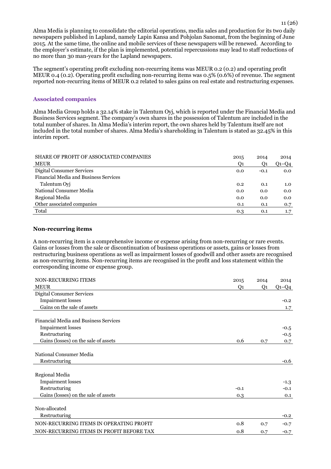Alma Media is planning to consolidate the editorial operations, media sales and production for its two daily newspapers published in Lapland, namely Lapin Kansa and Pohjolan Sanomat, from the beginning of June 2015. At the same time, the online and mobile services of these newspapers will be renewed. According to the employer's estimate, if the plan is implemented, potential repercussions may lead to staff reductions of no more than 30 man-years for the Lapland newspapers.

The segment's operating profit excluding non-recurring items was MEUR 0.2 (0.2) and operating profit MEUR 0.4 (0.2). Operating profit excluding non-recurring items was 0.5% (0.6%) of revenue. The segment reported non-recurring items of MEUR 0.2 related to sales gains on real estate and restructuring expenses.

## **Associated companies**

Alma Media Group holds a 32.14% stake in Talentum Oyj, which is reported under the Financial Media and Business Services segment. The company's own shares in the possession of Talentum are included in the total number of shares. In Alma Media's interim report, the own shares held by Talentum itself are not included in the total number of shares. Alma Media's shareholding in Talentum is stated as 32.45% in this interim report.

| SHARE OF PROFIT OF ASSOCIATED COMPANIES      | 2015 | 2014           | 2014        |
|----------------------------------------------|------|----------------|-------------|
| <b>MEUR</b>                                  | Ο1   | O <sub>1</sub> | $Q_1 - Q_4$ |
| Digital Consumer Services                    | 0.0  | $-0.1$         | 0.0         |
| <b>Financial Media and Business Services</b> |      |                |             |
| Talentum Ovi                                 | 0.2  | 0.1            | 1.0         |
| National Consumer Media                      | 0.0  | 0.0            | 0.0         |
| Regional Media                               | 0.0  | 0.0            | 0.0         |
| Other associated companies                   | 0.1  | 0.1            | 0.7         |
| Total                                        | 0.3  | 0.1            | 1.7         |

#### **Non-recurring items**

A non-recurring item is a comprehensive income or expense arising from non-recurring or rare events. Gains or losses from the sale or discontinuation of business operations or assets, gains or losses from restructuring business operations as well as impairment losses of goodwill and other assets are recognised as non-recurring items. Non-recurring items are recognised in the profit and loss statement within the corresponding income or expense group.

| <b>NON-RECURRING ITEMS</b>                   | 2015   | 2014 | 2014    |
|----------------------------------------------|--------|------|---------|
| <b>MEUR</b>                                  | Q1     | Q1   | $Q1-Q4$ |
| <b>Digital Consumer Services</b>             |        |      |         |
| <b>Impairment</b> losses                     |        |      | $-0.2$  |
| Gains on the sale of assets                  |        |      | 1.7     |
|                                              |        |      |         |
| <b>Financial Media and Business Services</b> |        |      |         |
| <b>Impairment</b> losses                     |        |      | $-0.5$  |
| Restructuring                                |        |      | $-0.5$  |
| Gains (losses) on the sale of assets         | 0.6    | 0.7  | 0.7     |
|                                              |        |      |         |
| National Consumer Media                      |        |      |         |
| Restructuring                                |        |      | $-0.6$  |
|                                              |        |      |         |
| Regional Media                               |        |      |         |
| <b>Impairment losses</b>                     |        |      | $-1.3$  |
| Restructuring                                | $-0.1$ |      | $-0.1$  |
| Gains (losses) on the sale of assets         | 0.3    |      | 0.1     |
|                                              |        |      |         |
| Non-allocated                                |        |      |         |
| Restructuring                                |        |      | $-0.2$  |
| NON-RECURRING ITEMS IN OPERATING PROFIT      | 0.8    | 0.7  | $-0.7$  |
| NON-RECURRING ITEMS IN PROFIT BEFORE TAX     | 0.8    | 0.7  | $-0.7$  |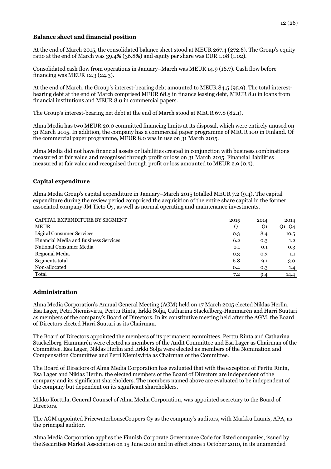#### **Balance sheet and financial position**

At the end of March 2015, the consolidated balance sheet stood at MEUR 267.4 (272.6). The Group's equity ratio at the end of March was 39.4% (36.8%) and equity per share was EUR 1.08 (1.02).

Consolidated cash flow from operations in January–March was MEUR 14.9 (16.7). Cash flow before financing was MEUR 12.3 (24.3).

At the end of March, the Group's interest-bearing debt amounted to MEUR 84.5 (95.9). The total interestbearing debt at the end of March comprised MEUR 68.5 in finance leasing debt, MEUR 8.0 in loans from financial institutions and MEUR 8.0 in commercial papers.

The Group's interest-bearing net debt at the end of March stood at MEUR 67.8 (82.1).

Alma Media has two MEUR 20.0 committed financing limits at its disposal, which were entirely unused on 31 March 2015. In addition, the company has a commercial paper programme of MEUR 100 in Finland. Of the commercial paper programme, MEUR 8.0 was in use on 31 March 2015.

Alma Media did not have financial assets or liabilities created in conjunction with business combinations measured at fair value and recognised through profit or loss on 31 March 2015. Financial liabilities measured at fair value and recognised through profit or loss amounted to MEUR 2.9 (0.3).

## **Capital expenditure**

Alma Media Group's capital expenditure in January–March 2015 totalled MEUR 7.2 (9.4). The capital expenditure during the review period comprised the acquisition of the entire share capital in the former associated company JM Tieto Oy, as well as normal operating and maintenance investments.

| CAPITAL EXPENDITURE BY SEGMENT               | 2015 | 2014 | 2014          |
|----------------------------------------------|------|------|---------------|
| <b>MEUR</b>                                  | Q1   | Q1   | $Q1-Q4$       |
| <b>Digital Consumer Services</b>             | 0.3  | 8.4  | 10.5          |
| <b>Financial Media and Business Services</b> | 6.2  | 0.3  | $1.2^{\circ}$ |
| National Consumer Media                      | 0.1  | 0.1  | 0.3           |
| Regional Media                               | 0.3  | 0.3  | 1.1           |
| Segments total                               | 6.8  | 9.1  | 13.0          |
| Non-allocated                                | 0.4  | 0.3  | 1.4           |
| Total                                        | 7.2  | 9.4  | 14.4          |

## **Administration**

Alma Media Corporation's Annual General Meeting (AGM) held on 17 March 2015 elected Niklas Herlin, Esa Lager, Petri Niemisvirta, Perttu Rinta, Erkki Solja, Catharina Stackelberg-Hammarén and Harri Suutari as members of the company's Board of Directors. In its constitutive meeting held after the AGM, the Board of Directors elected Harri Suutari as its Chairman.

The Board of Directors appointed the members of its permanent committees. Perttu Rinta and Catharina Stackelberg-Hammarén were elected as members of the Audit Committee and Esa Lager as Chairman of the Committee. Esa Lager, Niklas Herlin and Erkki Solja were elected as members of the Nomination and Compensation Committee and Petri Niemisvirta as Chairman of the Committee.

The Board of Directors of Alma Media Corporation has evaluated that with the exception of Perttu Rinta, Esa Lager and Niklas Herlin, the elected members of the Board of Directors are independent of the company and its significant shareholders. The members named above are evaluated to be independent of the company but dependent on its significant shareholders.

Mikko Korttila, General Counsel of Alma Media Corporation, was appointed secretary to the Board of Directors.

The AGM appointed PricewaterhouseCoopers Oy as the company's auditors, with Markku Launis, APA, as the principal auditor.

Alma Media Corporation applies the Finnish Corporate Governance Code for listed companies, issued by the Securities Market Association on 15 June 2010 and in effect since 1 October 2010, in its unamended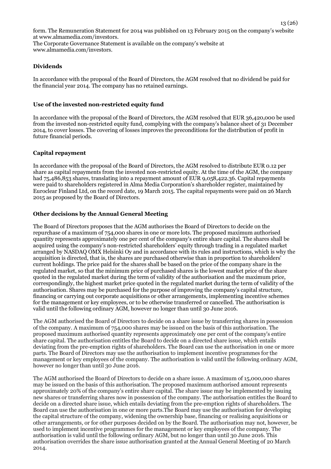form. The Remuneration Statement for 2014 was published on 13 February 2015 on the company's website at www.almamedia.com/investors. The Corporate Governance Statement is available on the company's website at www.almamedia.com/investors.

#### **Dividends**

In accordance with the proposal of the Board of Directors, the AGM resolved that no dividend be paid for the financial year 2014. The company has no retained earnings.

#### **Use of the invested non-restricted equity fund**

In accordance with the proposal of the Board of Directors, the AGM resolved that EUR 36,420,000 be used from the invested non-restricted equity fund, complying with the company's balance sheet of 31 December 2014, to cover losses. The covering of losses improves the preconditions for the distribution of profit in future financial periods.

#### **Capital repayment**

In accordance with the proposal of the Board of Directors, the AGM resolved to distribute EUR 0.12 per share as capital repayments from the invested non-restricted equity. At the time of the AGM, the company had 75,486,853 shares, translating into a repayment amount of EUR 9,058,422.36. Capital repayments were paid to shareholders registered in Alma Media Corporation's shareholder register, maintained by Euroclear Finland Ltd, on the record date, 19 March 2015. The capital repayments were paid on 26 March 2015 as proposed by the Board of Directors.

#### **Other decisions by the Annual General Meeting**

The Board of Directors proposes that the AGM authorises the Board of Directors to decide on the repurchase of a maximum of 754,000 shares in one or more lots. The proposed maximum authorised quantity represents approximately one per cent of the company's entire share capital. The shares shall be acquired using the company's non-restricted shareholders' equity through trading in a regulated market arranged by NASDAQ OMX Helsinki Oy and in accordance with its rules and instructions, which is why the acquisition is directed, that is, the shares are purchased otherwise than in proportion to shareholders' current holdings. The price paid for the shares shall be based on the price of the company share in the regulated market, so that the minimum price of purchased shares is the lowest market price of the share quoted in the regulated market during the term of validity of the authorisation and the maximum price, correspondingly, the highest market price quoted in the regulated market during the term of validity of the authorisation. Shares may be purchased for the purpose of improving the company's capital structure, financing or carrying out corporate acquisitions or other arrangements, implementing incentive schemes for the management or key employees, or to be otherwise transferred or cancelled. The authorisation is valid until the following ordinary AGM, however no longer than until 30 June 2016.

The AGM authorised the Board of Directors to decide on a share issue by transferring shares in possession of the company. A maximum of 754,000 shares may be issued on the basis of this authorisation. The proposed maximum authorised quantity represents approximately one per cent of the company's entire share capital. The authorisation entitles the Board to decide on a directed share issue, which entails deviating from the pre-emption rights of shareholders. The Board can use the authorisation in one or more parts. The Board of Directors may use the authorisation to implement incentive programmes for the management or key employees of the company. The authorisation is valid until the following ordinary AGM, however no longer than until 30 June 2016.

The AGM authorised the Board of Directors to decide on a share issue. A maximum of 15,000,000 shares may be issued on the basis of this authorisation. The proposed maximum authorised amount represents approximately 20% of the company's entire share capital. The share issue may be implemented by issuing new shares or transferring shares now in possession of the company. The authorisation entitles the Board to decide on a directed share issue, which entails deviating from the pre-emption rights of shareholders. The Board can use the authorisation in one or more parts.The Board may use the authorisation for developing the capital structure of the company, widening the ownership base, financing or realising acquisitions or other arrangements, or for other purposes decided on by the Board. The authorisation may not, however, be used to implement incentive programmes for the management or key employees of the company. The authorisation is valid until the following ordinary AGM, but no longer than until 30 June 2016. This authorisation overrides the share issue authorisation granted at the Annual General Meeting of 20 March 2014.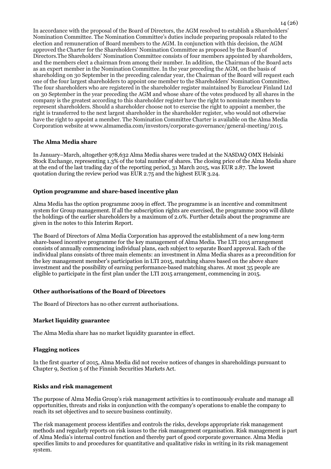In accordance with the proposal of the Board of Directors, the AGM resolved to establish a Shareholders' Nomination Committee. The Nomination Committee's duties include preparing proposals related to the election and remuneration of Board members to the AGM. In conjunction with this decision, the AGM approved the Charter for the Shareholders' Nomination Committee as proposed by the Board of Directors.The Shareholders' Nomination Committee consists of four members appointed by shareholders, and the members elect a chairman from among their number. In addition, the Chairman of the Board acts as an expert member in the Nomination Committee. In the year preceding the AGM, on the basis of shareholding on 30 September in the preceding calendar year, the Chairman of the Board will request each one of the four largest shareholders to appoint one member to the Shareholders' Nomination Committee. The four shareholders who are registered in the shareholder register maintained by Euroclear Finland Ltd on 30 September in the year preceding the AGM and whose share of the votes produced by all shares in the company is the greatest according to this shareholder register have the right to nominate members to represent shareholders. Should a shareholder choose not to exercise the right to appoint a member, the right is transferred to the next largest shareholder in the shareholder register, who would not otherwise have the right to appoint a member. The Nomination Committee Charter is available on the Alma Media Corporation website at www.almamedia.com/investors/corporate-governance/general-meeting/2015.

## **The Alma Media share**

In January–March, altogether 978,632 Alma Media shares were traded at the NASDAQ OMX Helsinki Stock Exchange, representing 1.3% of the total number of shares. The closing price of the Alma Media share at the end of the last trading day of the reporting period, 31 March 2015, was EUR 2.87. The lowest quotation during the review period was EUR 2.75 and the highest EUR 3.24.

## **Option programme and share-based incentive plan**

Alma Media has the option programme 2009 in effect. The programme is an incentive and commitment system for Group management. If all the subscription rights are exercised, the programme 2009 will dilute the holdings of the earlier shareholders by a maximum of 2.0%. Further details about the programme are given in the notes to this Interim Report.

The Board of Directors of Alma Media Corporation has approved the establishment of a new long-term share-based incentive programme for the key management of Alma Media. The LTI 2015 arrangement consists of annually commencing individual plans, each subject to separate Board approval. Each of the individual plans consists of three main elements: an investment in Alma Media shares as a precondition for the key management member's participation in LTI 2015, matching shares based on the above share investment and the possibility of earning performance-based matching shares. At most 35 people are eligible to participate in the first plan under the LTI 2015 arrangement, commencing in 2015.

## **Other authorisations of the Board of Directors**

The Board of Directors has no other current authorisations.

## **Market liquidity guarantee**

The Alma Media share has no market liquidity guarantee in effect.

## **Flagging notices**

In the first quarter of 2015, Alma Media did not receive notices of changes in shareholdings pursuant to Chapter 9, Section 5 of the Finnish Securities Markets Act.

## **Risks and risk management**

The purpose of Alma Media Group's risk management activities is to continuously evaluate and manage all opportunities, threats and risks in conjunction with the company's operations to enable the company to reach its set objectives and to secure business continuity.

The risk management process identifies and controls the risks, develops appropriate risk management methods and regularly reports on risk issues to the risk management organisation. Risk management is part of Alma Media's internal control function and thereby part of good corporate governance. Alma Media specifies limits to and procedures for quantitative and qualitative risks in writing in its risk management system.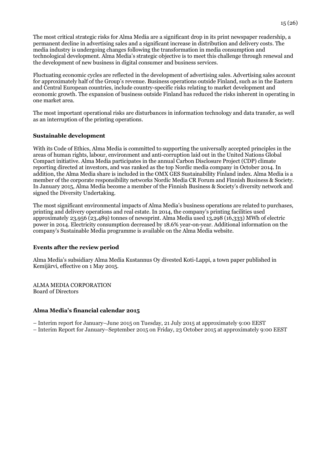The most critical strategic risks for Alma Media are a significant drop in its print newspaper readership, a permanent decline in advertising sales and a significant increase in distribution and delivery costs. The media industry is undergoing changes following the transformation in media consumption and technological development. Alma Media's strategic objective is to meet this challenge through renewal and the development of new business in digital consumer and business services.

Fluctuating economic cycles are reflected in the development of advertising sales. Advertising sales account for approximately half of the Group's revenue. Business operations outside Finland, such as in the Eastern and Central European countries, include country-specific risks relating to market development and economic growth. The expansion of business outside Finland has reduced the risks inherent in operating in one market area.

The most important operational risks are disturbances in information technology and data transfer, as well as an interruption of the printing operations.

#### **Sustainable development**

With its Code of Ethics, Alma Media is committed to supporting the universally accepted principles in the areas of human rights, labour, environment and anti-corruption laid out in the United Nations Global Compact initiative. Alma Media participates in the annual Carbon Disclosure Project (CDP) climate reporting directed at investors, and was ranked as the top Nordic media company in October 2014. In addition, the Alma Media share is included in the OMX GES Sustainability Finland index. Alma Media is a member of the corporate responsibility networks Nordic Media CR Forum and Finnish Business & Society. In January 2015, Alma Media become a member of the Finnish Business & Society's diversity network and signed the Diversity Undertaking.

The most significant environmental impacts of Alma Media's business operations are related to purchases, printing and delivery operations and real estate. In 2014, the company's printing facilities used approximately 23,956 (23,489) tonnes of newsprint. Alma Media used 13,298 (16,333) MWh of electric power in 2014. Electricity consumption decreased by 18.6% year-on-year. Additional information on the company's Sustainable Media programme is available on the Alma Media website.

#### **Events after the review period**

Alma Media's subsidiary Alma Media Kustannus Oy divested Koti-Lappi, a town paper published in Kemijärvi, effective on 1 May 2015.

ALMA MEDIA CORPORATION Board of Directors

#### **Alma Media's financial calendar 2015**

– Interim report for January–June 2015 on Tuesday, 21 July 2015 at approximately 9:00 EEST – Interim Report for January–September 2015 on Friday, 23 October 2015 at approximately 9:00 EEST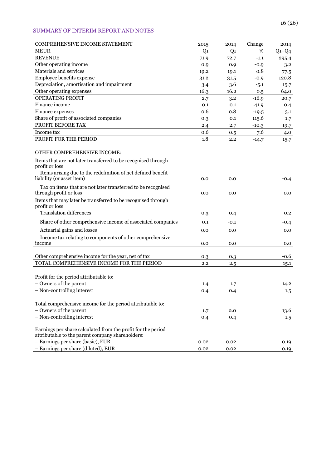## SUMMARY OF INTERIM REPORT AND NOTES

| COMPREHENSIVE INCOME STATEMENT                                | 2015 | 2014           | Change  | 2014    |
|---------------------------------------------------------------|------|----------------|---------|---------|
| <b>MEUR</b>                                                   | Q1   | Q <sub>1</sub> | %       | $Q1-Q4$ |
| <b>REVENUE</b>                                                | 71.9 | 72.7           | $-1.1$  | 295.4   |
| Other operating income                                        | 0.9  | 0.9            | $-0.9$  | 3.2     |
| Materials and services                                        | 19.2 | 19.1           | 0.8     | 77.5    |
| Employee benefits expense                                     | 31.2 | 31.5           | $-0.9$  | 120.8   |
| Depreciation, amortisation and impairment                     | 3.4  | 3.6            | $-5.1$  | 15.7    |
| Other operating expenses                                      | 16.3 | 16.2           | 0.5     | 64.0    |
| <b>OPERATING PROFIT</b>                                       | 2.7  | 3.2            | $-16.9$ | 20.7    |
| Finance income                                                | 0.1  | 0.1            | $-41.9$ | 0.4     |
| Finance expenses                                              | 0.6  | 0.8            | $-19.5$ | 3.1     |
| Share of profit of associated companies                       | 0.3  | 0.1            | 115.6   | 1.7     |
| PROFIT BEFORE TAX                                             | 2.4  | 2.7            | $-10.3$ | 19.7    |
| Income tax                                                    | 0.6  | 0.5            | 7.6     | 4.0     |
| PROFIT FOR THE PERIOD                                         | 1.8  | 2.2            | $-14.7$ | 15.7    |
|                                                               |      |                |         |         |
| OTHER COMPREHENSIVE INCOME:                                   |      |                |         |         |
| Items that are not later transferred to be recognised through |      |                |         |         |
| profit or loss                                                |      |                |         |         |
| Items arising due to the redefinition of net defined benefit  |      |                |         |         |
| liability (or asset item)                                     | 0.0  | 0.0            |         | $-0.4$  |
| Tax on items that are not later transferred to be recognised  |      |                |         |         |
| through profit or loss                                        | 0.0  | 0.0            |         | 0.0     |
| Items that may later be transferred to be recognised through  |      |                |         |         |
| profit or loss                                                |      |                |         |         |
| <b>Translation differences</b>                                | 0.3  | 0.4            |         | 0.2     |
| Share of other comprehensive income of associated companies   | 0.1  | $-0.1$         |         | $-0.4$  |
| Actuarial gains and losses                                    | 0.0  | 0.0            |         | 0.0     |
| Income tax relating to components of other comprehensive      |      |                |         |         |
| income                                                        | 0.0  | 0.0            |         | 0.0     |
|                                                               |      |                |         |         |
| Other comprehensive income for the year, net of tax           | 0.3  | 0.3            |         | -0.6    |
| TOTAL COMPREHENSIVE INCOME FOR THE PERIOD                     | 2.2  | 2.5            |         | 15.1    |
|                                                               |      |                |         |         |
| Profit for the period attributable to:                        |      |                |         |         |
| - Owners of the parent                                        | 1.4  | 1.7            |         | 14.2    |
| - Non-controlling interest                                    | 0.4  | 0.4            |         | 1.5     |
|                                                               |      |                |         |         |
| Total comprehensive income for the period attributable to:    |      |                |         |         |
| - Owners of the parent                                        | 1.7  | 2.0            |         | 13.6    |
| - Non-controlling interest                                    | 0.4  | 0.4            |         | $1.5\,$ |
|                                                               |      |                |         |         |
| Earnings per share calculated from the profit for the period  |      |                |         |         |
| attributable to the parent company shareholders:              |      |                |         |         |
| - Earnings per share (basic), EUR                             | 0.02 | 0.02           |         | 0.19    |
| - Earnings per share (diluted), EUR                           | 0.02 | 0.02           |         | 0.19    |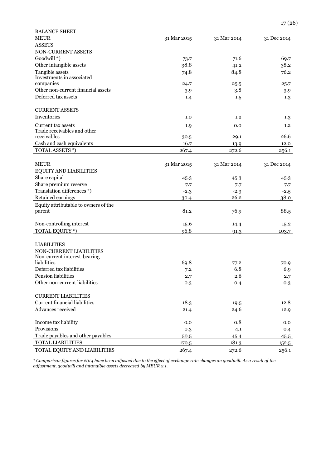| <b>BALANCE SHEET</b>                 |             |             |               |
|--------------------------------------|-------------|-------------|---------------|
| <b>MEUR</b>                          | 31 Mar 2015 | 31 Mar 2014 | 31 Dec 2014   |
| <b>ASSETS</b>                        |             |             |               |
| NON-CURRENT ASSETS                   |             |             |               |
| Goodwill *)                          | 73.7        | 71.6        | 69.7          |
| Other intangible assets              | 38.8        | 41.2        | 38.2          |
| Tangible assets                      | 74.8        | 84.8        | 76.2          |
| Investments in associated            |             |             |               |
| companies                            | 24.7        | 25.5        | 25.7          |
| Other non-current financial assets   | 3.9         | 3.8         | 3.9           |
| Deferred tax assets                  | 1.4         | 1.5         | 1.3           |
| <b>CURRENT ASSETS</b>                |             |             |               |
| Inventories                          | 1.0         | 1,2         | $1.3\,$       |
| Current tax assets                   | 1.9         | 0.0         | 1.2           |
| Trade receivables and other          |             |             |               |
| receivables                          | 30.5        | 29.1        | 26.6          |
| Cash and cash equivalents            | 16.7        | 13.9        | 12.0          |
| TOTAL ASSETS *)                      | 267.4       | 272.6       | 256.1         |
| <b>MEUR</b>                          | 31 Mar 2015 | 31 Mar 2014 | 31 Dec 2014   |
| EQUITY AND LIABILITIES               |             |             |               |
| Share capital                        | 45.3        | 45.3        | 45.3          |
| Share premium reserve                | 7.7         | 7.7         | 7.7           |
| Translation differences *)           | $-2.3$      | $-2.3$      | $-2.5$        |
| Retained earnings                    | 30.4        | 26.2        | 38.0          |
| Equity attributable to owners of the |             |             |               |
| parent                               | 81.2        | 76.9        | 88.5          |
|                                      |             |             |               |
| Non-controlling interest             | 15.6        | 14.4        | 15.2          |
| TOTAL EQUITY *)                      | 96.8        | 91.3        | 103.7         |
|                                      |             |             |               |
| <b>LIABILITIES</b>                   |             |             |               |
| NON-CURRENT LIABILITIES              |             |             |               |
| Non-current interest-bearing         |             |             |               |
| liabilities                          | 69.8        | 77.2        | 70.9          |
| Deferred tax liabilities             | 7.2         | 6.8         | 6.9           |
| Pension liabilities                  | 2.7         | 2.6         | 2.7           |
| Other non-current liabilities        | 0.3         | 0.4         | 0.3           |
| <b>CURRENT LIABILITIES</b>           |             |             |               |
| Current financial liabilities        | 18.3        | 19.5        | 12.8          |
| Advances received                    | 21.4        | 24.6        | 12.9          |
| Income tax liability                 | 0.0         | 0.8         | 0.0           |
| Provisions                           | 0.3         | 4.1         | 0.4           |
| Trade payables and other payables    | 50.5        | 45.4        |               |
| TOTAL LIABILITIES                    | 170.5       | 181.3       | 45.5<br>152.5 |
| TOTAL EQUITY AND LIABILITIES         | 267.4       | 272.6       | 256.1         |
|                                      |             |             |               |

*\* Comparison figures for 2014 have been adjusted due to the effect of exchange rate changes on goodwill. As a result of the adjustment, goodwill and intangible assets decreased by MEUR 2.1.*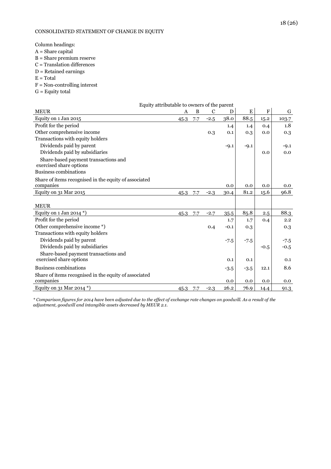#### CONSOLIDATED STATEMENT OF CHANGE IN EQUITY

Column headings:

- A = Share capital
- B = Share premium reserve
- $C =$ Translation differences
- D = Retained earnings
- $E = Total$
- F = Non-controlling interest
- $G =$  Equity total

| G      |
|--------|
| 103.7  |
| 1.8    |
| 0.3    |
|        |
| $-9.1$ |
| 0.0    |
|        |
|        |
|        |
| 0.0    |
| 96.8   |
|        |
|        |
| 88.3   |
| 2.2    |
| 0.3    |
|        |
| $-7.5$ |
| $-0.5$ |
|        |
| 0.1    |
| 8.6    |
| 0.0    |
| 91.3   |
|        |

*\* Comparison figures for 2014 have been adjusted due to the effect of exchange rate changes on goodwill. As a result of the adjustment, goodwill and intangible assets decreased by MEUR 2.1.*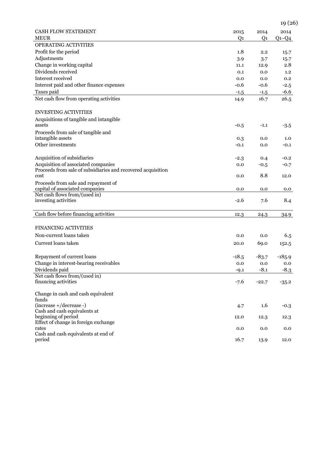|                                                              |                |                | 19 (26)   |
|--------------------------------------------------------------|----------------|----------------|-----------|
| <b>CASH FLOW STATEMENT</b>                                   | 2015           | 2014           | 2014      |
| <b>MEUR</b>                                                  | Q <sub>1</sub> | Q <sub>1</sub> | $Q_1-Q_4$ |
| <b>OPERATING ACTIVITIES</b>                                  |                |                |           |
| Profit for the period                                        | 1.8            | 2.2            | 15.7      |
| Adjustments                                                  | 3.9            | 3.7            | 15.7      |
| Change in working capital                                    | 11.1           | 12.9           | 2.8       |
| Dividends received                                           | 0.1            | 0.0            | 1.2       |
| Interest received                                            | 0.0            | 0.0            | 0.2       |
| Interest paid and other finance expenses                     | $-0.6$         | $-0.6$         | $-2.5$    |
| Taxes paid                                                   | $-1.5$         | $-1.5$         | $-6.6$    |
| Net cash flow from operating activities                      | 14.9           | 16.7           | 26.5      |
| <b>INVESTING ACTIVITIES</b>                                  |                |                |           |
| Acquisitions of tangible and intangible                      |                |                |           |
| assets                                                       | $-0.5$         | $-1.1$         | $-3.5$    |
| Proceeds from sale of tangible and                           |                |                |           |
| intangible assets                                            | 0.3            | 0.0            | 1.0       |
| Other investments                                            | $-0.1$         | 0.0            | $-0.1$    |
| Acquisition of subsidiaries                                  | $-2.3$         | 0.4            | $-0.2$    |
| Acquisition of associated companies                          | 0.0            | $-0.5$         | $-0.7$    |
| Proceeds from sale of subsidiaries and recovered acquisition |                |                |           |
| cost                                                         | 0.0            | 8.8            | 12.0      |
| Proceeds from sale and repayment of                          |                |                |           |
| capital of associated companies                              | 0.0            | 0.0            | 0.0       |
| Net cash flows from/(used in)<br>investing activities        | $-2.6$         | 7.6            | 8.4       |
|                                                              |                |                |           |
| Cash flow before financing activities                        | 12.3           | 24.3           | 34.9      |
|                                                              |                |                |           |
| <b>FINANCING ACTIVITIES</b>                                  |                |                |           |
| Non-current loans taken                                      | 0.0            | 0.0            | 6.5       |
| Current loans taken                                          | 20.0           | 69.0           | 152.5     |
| Repayment of current loans                                   | $-18.5$        | $-83.7$        | $-185.9$  |
| Change in interest-bearing receivables                       | 0.0            | 0.0            | 0.0       |
| Dividends paid                                               | $-9.1$         | $-8.1$         | $-8.3$    |
| Net cash flows from/(used in)                                |                |                |           |
| financing activities                                         | $-7.6$         | $-22.7$        | $-35.2$   |
| Change in cash and cash equivalent                           |                |                |           |
| funds                                                        |                |                |           |
| (increase +/decrease -)<br>Cash and cash equivalents at      | 4.7            | 1.6            | $-0.3$    |
| beginning of period                                          | 12.0           | 12.3           | 12.3      |
| Effect of change in foreign exchange                         |                |                |           |
| rates                                                        | 0.0            | 0.0            | 0.0       |
| Cash and cash equivalents at end of                          |                |                |           |
| period                                                       | 16.7           | 13.9           | 12.0      |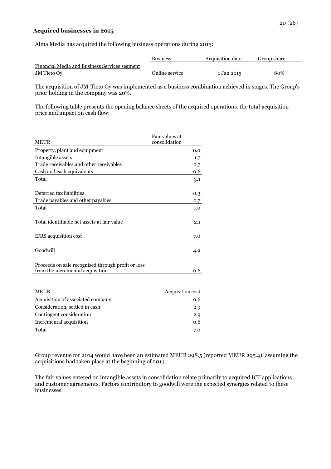#### **Acquired businesses in 2015**

Alma Media has acquired the following business operations during 2015:

|                                               | <b>Business</b> | <b>Acquisition date</b> | Group share |
|-----------------------------------------------|-----------------|-------------------------|-------------|
| Financial Media and Business Services segment |                 |                         |             |
| <b>JM</b> Tieto Ov                            | Online service  | 1 Jan 2015              | 80%         |

The acquisition of JM-Tieto Oy was implemented as a business combination achieved in stages. The Group's prior holding in the company was 20%.

The following table presents the opening balance sheets of the acquired operations, the total acquisition price and impact on cash flow:

| <b>MEUR</b>                                                                            | Fair values at<br>consolidation |
|----------------------------------------------------------------------------------------|---------------------------------|
| Property, plant and equipment                                                          | 0.0                             |
| Intangible assets                                                                      | 1.7                             |
| Trade receivables and other receivables                                                | 0.7                             |
| Cash and cash equivalents                                                              | 0.6                             |
| Total                                                                                  | 3.1                             |
|                                                                                        |                                 |
| Deferred tax liabilities                                                               | 0.3                             |
| Trade payables and other payables                                                      | 0.7                             |
| Total                                                                                  | 1.0                             |
| Total identifiable net assets at fair value                                            | 2.1                             |
| <b>IFRS</b> acquisition cost                                                           | 7.0                             |
| Goodwill                                                                               | 4.9                             |
| Proceeds on sale recognised through profit or loss<br>from the incremental acquisition | 0.6                             |

| <b>MEUR</b>                       | Acquisition cost |
|-----------------------------------|------------------|
| Acquisition of associated company | 0.6              |
| Consideration, settled in cash    | 2.9              |
| Contingent consideration          | 2.9              |
| Incremental acquisition           | 0.6              |
| Total                             | 7.0              |
|                                   |                  |

Group revenue for 2014 would have been an estimated MEUR 298.5 (reported MEUR 295.4), assuming the acquisitions had taken place at the beginning of 2014.

The fair values entered on intangible assets in consolidation relate primarily to acquired ICT applications and customer agreements. Factors contributory to goodwill were the expected synergies related to these businesses.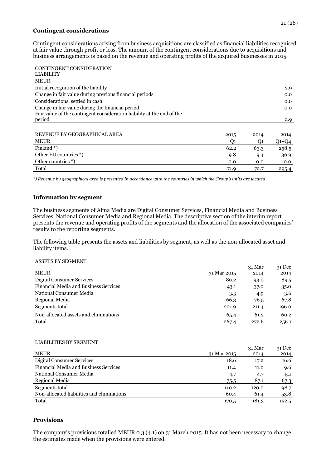#### **Contingent considerations**

Contingent considerations arising from business acquisitions are classified as financial liabilities recognised at fair value through profit or loss. The amount of the contingent considerations due to acquisitions and business arrangements is based on the revenue and operating profits of the acquired businesses in 2015.

| CONTINGENT CONSIDERATION                                               |      |      |         |
|------------------------------------------------------------------------|------|------|---------|
| <b>LIABILITY</b>                                                       |      |      |         |
| <b>MEUR</b>                                                            |      |      |         |
| Initial recognition of the liability                                   |      |      | 2.9     |
| Change in fair value during previous financial periods                 |      |      | 0.0     |
| Considerations, settled in cash                                        |      |      | 0.0     |
| Change in fair value during the financial period                       |      |      | 0.0     |
| Fair value of the contingent consideration liability at the end of the |      |      |         |
| period                                                                 |      |      | 2.9     |
|                                                                        |      |      |         |
| REVENUE BY GEOGRAPHICAL AREA                                           | 2015 | 2014 | 2014    |
| <b>MEUR</b>                                                            | O1   | O1   | $Q1-Q4$ |
| Finland <sup>*</sup> )                                                 | 62.2 | 63.3 | 258.5   |
| Other EU countries *)                                                  | 9.8  | 9.4  | 36.9    |
| Other countries *)                                                     | 0.0  | 0.0  | 0.0     |
| Total                                                                  | 71.9 | 72.7 | 295.4   |

*\*) Revenue by geographical area is presented in accordance with the countries in which the Group's units are located.*

## **Information by segment**

The business segments of Alma Media are Digital Consumer Services, Financial Media and Business Services, National Consumer Media and Regional Media. The descriptive section of the interim report presents the revenue and operating profits of the segments and the allocation of the associated companies' results to the reporting segments.

The following table presents the assets and liabilities by segment, as well as the non-allocated asset and liability items.

#### ASSETS BY SEGMENT

|                                              |             | 31 Mar | $31$ Dec |
|----------------------------------------------|-------------|--------|----------|
| <b>MEUR</b>                                  | 31 Mar 2015 | 2014   | 2014     |
| Digital Consumer Services                    | 89.2        | 93.0   | 89.5     |
| <b>Financial Media and Business Services</b> | 43.1        | 37.0   | 35.0     |
| National Consumer Media                      | 3.3         | 4.9    | 3.6      |
| Regional Media                               | 66.3        | 76.5   | 67.8     |
| Segments total                               | 201.9       | 211.4  | 196.0    |
| Non-allocated assets and eliminations        | 65.4        | 61.2   | 60.2     |
| Total                                        | 267.4       | 272.6  | 256.1    |

#### LIABILITIES BY SEGMENT

| <u>LIZ ND LEI LIENZ D'I NENTRI ETY L</u>     |             | 31 Mar | $31$ Dec |
|----------------------------------------------|-------------|--------|----------|
| <b>MEUR</b>                                  | 31 Mar 2015 | 2014   | 2014     |
| Digital Consumer Services                    | 18.6        | 17.2   | 16.6     |
| <b>Financial Media and Business Services</b> | 11.4        | 11.0   | 9.6      |
| National Consumer Media                      | 4.7         | 4.7    | 5.1      |
| Regional Media                               | 75.5        | 87.1   | 67.3     |
| Segments total                               | 110.2       | 120.0  | 98.7     |
| Non-allocated liabilities and eliminations   | 60.4        | 61.4   | 53.8     |
| Total                                        | 170.5       | 181.3  | 152.5    |

## **Provisions**

The company's provisions totalled MEUR 0.3 (4.1) on 31 March 2015. It has not been necessary to change the estimates made when the provisions were entered.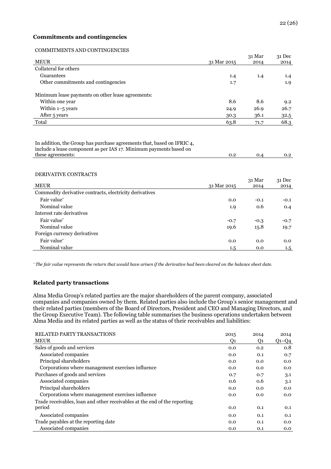#### **Commitments and contingencies**

#### COMMITMENTS AND CONTINGENCIES

|                                                   |             | 31 Mar | 31 Dec |
|---------------------------------------------------|-------------|--------|--------|
| <b>MEUR</b>                                       | 31 Mar 2015 | 2014   | 2014   |
| Collateral for others                             |             |        |        |
| Guarantees                                        | 1.4         | 1.4    | 1.4    |
| Other commitments and contingencies               | 1.7         |        | 1.9    |
| Minimum lease payments on other lease agreements: |             |        |        |
| Within one year                                   | 8.6         | 8.6    | 9.2    |
| Within $1-5$ years                                | 24.9        | 26.9   | 26.7   |
| After 5 years                                     | 30.3        | 36.1   | 32.5   |
| Total                                             | 63.8        | 71.7   | 68.3   |
|                                                   |             |        |        |

In addition, the Group has purchase agreements that, based on IFRIC 4, include a lease component as per IAS 17. Minimum payments based on these agreements: 0.2 0.4 0.2

#### DERIVATIVE CONTRACTS

|                                                         |             | 31 Mar | $31$ Dec |
|---------------------------------------------------------|-------------|--------|----------|
| <b>MEUR</b>                                             | 31 Mar 2015 | 2014   | 2014     |
| Commodity derivative contracts, electricity derivatives |             |        |          |
| Fair value*                                             | 0.0         | $-0.1$ | $-0.1$   |
| Nominal value                                           | 1.9         | 0.6    | 0.4      |
| Interest rate derivatives                               |             |        |          |
| Fair value*                                             | $-0.7$      | $-0.3$ | $-0.7$   |
| Nominal value                                           | 19.6        | 15.8   | 19.7     |
| Foreign currency derivatives                            |             |        |          |
| Fair value*                                             | 0.0         | 0.0    | 0.0      |
| Nominal value                                           | $1.5\,$     | 0.0    | $1.5\,$  |
|                                                         |             |        |          |

*\* The fair value represents the return that would have arisen if the derivative had been cleared on the balance sheet date.*

#### **Related party transactions**

Alma Media Group's related parties are the major shareholders of the parent company, associated companies and companies owned by them. Related parties also include the Group's senior management and their related parties (members of the Board of Directors, President and CEO and Managing Directors, and the Group Executive Team). The following table summarises the business operations undertaken between Alma Media and its related parties as well as the status of their receivables and liabilities:

| <b>RELATED PARTY TRANSACTIONS</b>                                         | 2015 | 2014 | 2014    |
|---------------------------------------------------------------------------|------|------|---------|
| <b>MEUR</b>                                                               | Q1   | Q1   | $Q1-Q4$ |
| Sales of goods and services                                               | 0.0  | 0.2  | 0.8     |
| Associated companies                                                      | 0.0  | 0.1  | 0.7     |
| Principal shareholders                                                    | 0.0  | 0.0  | 0.0     |
| Corporations where management exercises influence                         | 0.0  | 0.0  | 0.0     |
| Purchases of goods and services                                           | 0.7  | 0.7  | 3.1     |
| Associated companies                                                      | 0.6  | 0.6  | 3.1     |
| Principal shareholders                                                    | 0.0  | 0.0  | 0.0     |
| Corporations where management exercises influence                         | 0.0  | 0.0  | 0.0     |
| Trade receivables, loan and other receivables at the end of the reporting |      |      |         |
| period                                                                    | 0.0  | 0.1  | 0.1     |
| Associated companies                                                      | 0.0  | 0.1  | 0.1     |
| Trade payables at the reporting date                                      | 0.0  | 0.1  | 0.0     |
| Associated companies                                                      | 0.0  | 0.1  | 0.0     |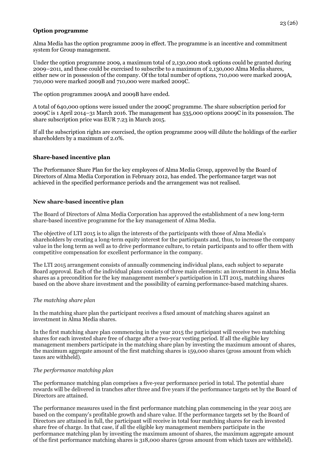## **Option programme**

Alma Media has the option programme 2009 in effect. The programme is an incentive and commitment system for Group management.

Under the option programme 2009, a maximum total of 2,130,000 stock options could be granted during 2009–2011, and these could be exercised to subscribe to a maximum of 2,130,000 Alma Media shares, either new or in possession of the company. Of the total number of options, 710,000 were marked 2009A, 710,000 were marked 2009B and 710,000 were marked 2009C.

The option programmes 2009A and 2009B have ended.

A total of 640,000 options were issued under the 2009C programme. The share subscription period for 2009C is 1 April 2014–31 March 2016. The management has 535,000 options 2009C in its possession. The share subscription price was EUR 7.23 in March 2015.

If all the subscription rights are exercised, the option programme 2009 will dilute the holdings of the earlier shareholders by a maximum of 2.0%.

## **Share-based incentive plan**

The Performance Share Plan for the key employees of Alma Media Group, approved by the Board of Directors of Alma Media Corporation in February 2012, has ended. The performance target was not achieved in the specified performance periods and the arrangement was not realised.

#### **New share-based incentive plan**

The Board of Directors of Alma Media Corporation has approved the establishment of a new long-term share-based incentive programme for the key management of Alma Media.

The objective of LTI 2015 is to align the interests of the participants with those of Alma Media's shareholders by creating a long-term equity interest for the participants and, thus, to increase the company value in the long term as well as to drive performance culture, to retain participants and to offer them with competitive compensation for excellent performance in the company.

The LTI 2015 arrangement consists of annually commencing individual plans, each subject to separate Board approval. Each of the individual plans consists of three main elements: an investment in Alma Media shares as a precondition for the key management member's participation in LTI 2015, matching shares based on the above share investment and the possibility of earning performance-based matching shares.

## *The matching share plan*

In the matching share plan the participant receives a fixed amount of matching shares against an investment in Alma Media shares.

In the first matching share plan commencing in the year 2015 the participant will receive two matching shares for each invested share free of charge after a two-year vesting period. If all the eligible key management members participate in the matching share plan by investing the maximum amount of shares, the maximum aggregate amount of the first matching shares is 159,000 shares (gross amount from which taxes are withheld).

#### *The performance matching plan*

The performance matching plan comprises a five-year performance period in total. The potential share rewards will be delivered in tranches after three and five years if the performance targets set by the Board of Directors are attained.

The performance measures used in the first performance matching plan commencing in the year 2015 are based on the company's profitable growth and share value. If the performance targets set by the Board of Directors are attained in full, the participant will receive in total four matching shares for each invested share free of charge. In that case, if all the eligible key management members participate in the performance matching plan by investing the maximum amount of shares, the maximum aggregate amount of the first performance matching shares is 318,000 shares (gross amount from which taxes are withheld).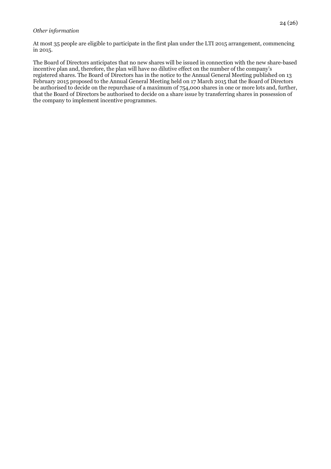#### *Other information*

At most 35 people are eligible to participate in the first plan under the LTI 2015 arrangement, commencing in 2015.

The Board of Directors anticipates that no new shares will be issued in connection with the new share-based incentive plan and, therefore, the plan will have no dilutive effect on the number of the company's registered shares. The Board of Directors has in the notice to the Annual General Meeting published on 13 February 2015 proposed to the Annual General Meeting held on 17 March 2015 that the Board of Directors be authorised to decide on the repurchase of a maximum of 754,000 shares in one or more lots and, further, that the Board of Directors be authorised to decide on a share issue by transferring shares in possession of the company to implement incentive programmes.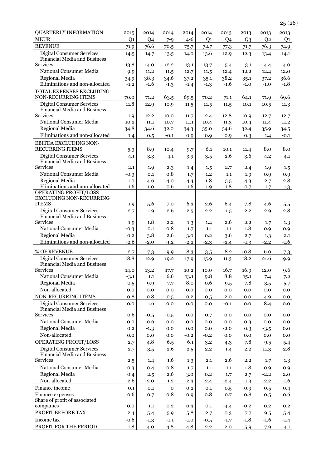| <b>QUARTERLY INFORMATION</b>                                            | 2015           | 2014           | 2014          | 2014          | 2014           | 2013          | 2013          | 2013           | 2013           |
|-------------------------------------------------------------------------|----------------|----------------|---------------|---------------|----------------|---------------|---------------|----------------|----------------|
| <b>MEUR</b>                                                             | Q <sub>1</sub> | Q <sub>4</sub> | $7 - 9$       | $4 - 6$       | Q <sub>1</sub> | Q4            | $Q_3$         | Q <sub>2</sub> | Q <sub>1</sub> |
| <b>REVENUE</b>                                                          | 71.9           | 76.6           | 70.5          | 75.7          | 72.7           | 77.3          | 71.7          | 76.3           | 74.9           |
| <b>Digital Consumer Services</b><br><b>Financial Media and Business</b> | 14.5           | 14.7           | 13.5          | 14.0          | 13.6           | 12.9          | 12.3          | 13.4           | 14.1           |
| <b>Services</b>                                                         | 13.8           | 14.0           | 12.2          | 13.1          | 13.7           | 15.4          | 13.1          | 14.4           | 14.0           |
| National Consumer Media                                                 | 9.9            | 11.2           | 11.5          | 12.7          | 11.5           | 12.4          | 12.2          | 12.4           | 12.0           |
| Regional Media                                                          | 34.9           | 38.3           | 34.6          | 37.2          | 35.1           | 38.2          | 35.1          | 37.2           | 36.6           |
| Eliminations and non-allocated                                          | $-1.2$         | $-1.6$         | $-1.3$        | $-1.4$        | $-1.3$         | $-1.6$        | $-1.0$        | $-1.0$         | $-1.8$         |
| TOTAL EXPENSES EXCLUDING<br>NON-RECURRING ITEMS                         | 70.0           | 71.2           | 63.5          | 69.5          | 70.2           | 71.1          | 64.1          | 71.9           | 69.6           |
| <b>Digital Consumer Services</b>                                        | 11.8           | 12.9           | 10.9          | 11.5          | 11.5           | 11.5          | 10.1          | 10.5           | 11.3           |
| Financial Media and Business                                            |                |                |               |               |                |               |               |                |                |
| Services                                                                | 11.9           | 12.2           | 10.0          | 11.7          | 12.4           | 12.8          | 10.9          | 12.7           | 12.7           |
| National Consumer Media                                                 | 10.2           | 11.1           | 10.7          | 11.1          | 10.4           | 11.3          | 10.4          | 11.4           | 11.2           |
| Regional Media                                                          | 34.8           | 34.6           | 32.0          | 34.3          | 35.0           | 34.6          | 32.4          | 35.9           | 34.5           |
| Eliminations and non-allocated                                          | 1.4            | 0.5            | $-0.1$        | 0.9           | 0.9            | 0.9           | 0.3           | 1.4            | $-0.1$         |
| EBITDA EXCLUDING NON-                                                   |                |                |               |               |                |               |               |                |                |
| <b>RECURRING ITEMS</b>                                                  | 5.3            | 8.9            | 10.4          | 9.7           | 6.1            | 10.1          | 11.4          | 8.0            | $8.0\,$        |
| <b>Digital Consumer Services</b>                                        | 4.1            | 3.3            | 4.1           | 3.9           | 3.5            | 2.6           | 3.6           | 4.2            | 4.1            |
| Financial Media and Business                                            |                |                |               |               |                |               |               |                |                |
| Services<br>National Consumer Media                                     | 2.1            | 1.9            | 2.3           | 1.4           | 1.5            | 2.7           | 2.4           | 1.9            | 1.5            |
|                                                                         | $-0.3$         | 0.1            | 0.8           | 1.7           | 1.2            | 1.1           | 1.9           | 0.9            | 0.9            |
| Regional Media<br>Eliminations and non-allocated                        | 1.0<br>$-1.6$  | 4.6<br>$-1.0$  | 4.0<br>$-0.6$ | 4.4<br>$-1.6$ | 1.8<br>$-1.9$  | 5.5<br>$-1.8$ | 4.3<br>$-0.7$ | 2.7<br>$-1.7$  | 2.8            |
| <b>OPERATING PROFIT/LOSS</b>                                            |                |                |               |               |                |               |               |                | $-1.3$         |
| <b>EXCLUDING NON-RECURRING</b>                                          |                |                |               |               |                |               |               |                |                |
| <b>ITEMS</b>                                                            | 1.9            | 5.6            | 7.0           | 6.3           | 2.6            | 6.4           | 7.8           | 4.6            | 5.5            |
| <b>Digital Consumer Services</b>                                        | 2.7            | 1.9            | 2.6           | 2.5           | 2.2            | 1.5           | 2.2           | 2.9            | 2.8            |
| Financial Media and Business                                            |                |                |               |               |                |               |               |                |                |
| Services                                                                | 1.9            | 1.8            | 2.2           | 1.3           | 1.4            | 2.6           | 2.2           | 1.7            | 1.3            |
| National Consumer Media                                                 | $-0.3$         | 0.1            | 0.8           | 1.7           | 1.1            | $1.1\,$       | 1.8           | 0.9            | 0.9            |
| Regional Media                                                          | 0.2            | 3.8            | 2.6           | 3.0           | 0.2            | 3.6           | 2.7           | 1.3            | 2.1            |
| Eliminations and non-allocated                                          | $-2.6$         | $-2.0$         | $-1.2$        | $-2.2$        | $-2.3$         | $-2.4$        | $-1.3$        | $-2.2$         | $-1.6$         |
| % OF REVENUE                                                            | 2.7            | 7.3            | 9.9           | 8.3           | 3.5            | 8.2           | 10.8          | 6.0            | 7.3            |
| <b>Digital Consumer Services</b>                                        | 18.8           | 12.9           | 19.2          | 17.9          | 15.9           | 11.3          | 18.2          | 21.6           | 19.9           |
| <b>Financial Media and Business</b>                                     |                |                |               |               |                |               |               |                |                |
| <b>Services</b>                                                         | 14.0           | 13.2           | 17.7          | 10.2          | 10.0           | 16.7          | 16.9          | 12.0           | 9.6            |
| National Consumer Media                                                 | $-3.1$         | 1.1            | 6.6           | 13.1          | 9.8            | 8.8           | 15.1          | 7.4            | 7.2            |
| Regional Media                                                          | 0.5            | 9.9            | 7.7           | 8.0           | 0.6            | 9.5           | 7.8           | 3.5            | 5.7            |
| Non-allocated                                                           | 0.0            | 0.0            | 0.0           | 0.0           | 0.0            | 0.0           | 0.0           | 0.0            | 0.0            |
| NON-RECURRING ITEMS                                                     | 0.8            | $-0.8$         | $-0.5$        | $-0.2$        | 0.5            | $-2.0$        | 0.0           | 4.9            | 0.0            |
| <b>Digital Consumer Services</b><br>Financial Media and Business        | 0.0            | 1.6            | 0.0           | 0.0           | 0.0            | $-0.1$        | 0.0           | 8.4            | 0.0            |
| Services                                                                | 0.6            | $-0.5$         | $-0.5$        | 0.0           | 0.7            | 0.0           | 0.0           | 0.0            | 0.0            |
| National Consumer Media                                                 | 0.0            | $-0.6$         | $0.0\,$       | 0.0           | 0.0            | 0.0           | $-0.3$        | 0.0            | 0.0            |
| Regional Media                                                          | 0.2            | $-1.3$         | 0.0           | 0.0           | 0.0            | $-2.0$        | 0.3           | $-3.5$         | 0.0            |
| Non-allocated                                                           | 0.0            | 0.0            | 0.0           | $-0.2$        | $-0.2$         | 0.0           | 0.0           | 0.0            | 0.0            |
| OPERATING PROFIT/LOSS                                                   | 2.7            | 4.8            | 6.5           | 6.1           | 3.2            | 4.3           | 7.8           | 9.5            | 5.4            |
| <b>Digital Consumer Services</b>                                        | 2.7            | 3.5            | 2.6           | 2.5           | 2.2            | 1.4           | 2.2           | 11.3           | 2.8            |
| Financial Media and Business                                            |                |                |               |               |                |               |               |                |                |
| Services                                                                | 2.5            | 1.4            | 1.6           | 1.3           | 2.1            | 2.6           | 2.2           | 1.7            | 1.3            |
| National Consumer Media                                                 | $-0.3$         | $-0.4$         | 0.8           | 1.7           | 1.1            | 1.1           | 1.8           | 0.9            | 0.9            |
| Regional Media                                                          | 0.4            | 2.5            | 2.6           | 3.0           | 0.2            | 1.7           | 2.7           | $-2.2$         | 2.0            |
| Non-allocated                                                           | $-2.6$         | $-2.0$         | $-1.2$        | $-2.3$        | $-2.4$         | $-2.4$        | $-1.3$        | $-2.2$         | $-1.6$         |
| Finance income                                                          | 0.1            | 0.1            | $\mathbf 0$   | 0.2           | 0.1            | 0.5           | 0.9           | 0.5            | 0.4            |
| Finance expenses                                                        | 0.6            | 0.7            | 0.8           | 0.9           | $0.8\,$        | 0.7           | 0.8           | 0.5            | 0.6            |
| Share of profit of associated<br>companies                              | 0.0            | 1.1            | 0.2           | 0.3           | 0.1            | $-4.4$        | $-0.2$        | 0.2            | 0.2            |
| PROFIT BEFORE TAX                                                       | 2.4            | 5.4            | 5.9           | 5.8           | 2.7            | $-0.3$        | 7.7           | 9.5            | 5.4            |
| Income tax                                                              | -0.6           | $-1.3$         | $-1.1$        | $-1.0$        | $-0.5$         | $-1.7$        | $-1.8$        | $-1.6$         | $-1.4$         |
| PROFIT FOR THE PERIOD                                                   | 1.8            | 4.0            | 4.8           | 4.8           | 2.2            | $-2.0$        | 5.9           | 7.9            | 4.1            |
|                                                                         |                |                |               |               |                |               |               |                |                |

25 (26 )